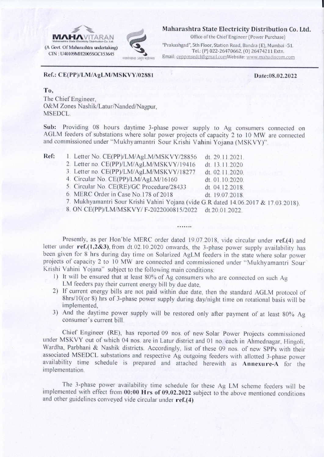

Maharashtra State Electricity Distribution Co. Ltd.

Office of the Chief Engineer (Power Purchase)

"Prakashgad", 5th Floor, Station Road, Bandra (E), Mumbai -51. Tel.: (P) 022-26470662, (O) 26474211 Extn. Email: ceppmsedcl@gmail.comWebsite: www.mahadiscom.com

## Ref.: CE(PP)/LM/AgLM/MSKVY/02881

Date:08.02.2022

## To,

The Chief Engineer. O&M Zones Nashik/Latur/Nanded/Nagpur, **MSEDCL.** 

Sub: Providing 08 hours daytime 3-phase power supply to Ag consumers connected on AGLM feeders of substations where solar power projects of capacity 2 to 10 MW are connected and commissioned under "Mukhyamantri Sour Krishi Vahini Yojana (MSKVY)".

| Ref: | 1. Letter No. CE(PP)/LM/AgLM/MSKVY/28856                                            | dt. 29.11.2021. |
|------|-------------------------------------------------------------------------------------|-----------------|
|      | 2. Letter no. CE(PP)/LM/AgLM/MSKVY/19416                                            | dt. 13.11.2020  |
|      | 3. Letter no. CE(PP)/LM/AgLM/MSKVY/18277                                            | dt. 02.11.2020. |
|      | 4. Circular No. CE(PP)/LM/AgLM/16160                                                | dt. 01.10.2020. |
|      | 5. Circular No. CE(RE)/GC Procedure/28433                                           | dt. 04.12.2018. |
|      | 6. MERC Order in Case No.178 of 2018                                                | dt. 19.07.2018. |
|      | 7. Mukhyamantri Sour Krishi Vahini Yojana (vide G.R dated 14.06.2017 & 17.03.2018). |                 |
|      | 8. ON CE(PP)/LM/MSKVY/F-2022000815/2022 dt.20.01.2022.                              |                 |
|      |                                                                                     |                 |
|      |                                                                                     |                 |

Presently, as per Hon'ble MERC order dated 19.07.2018, vide circular under ref.(4) and letter under  $ref.(1,2\&3)$ , from dt.02.10.2020 onwards, the 3-phase power supply availability has been given for 8 hrs during day time on Solarized AgLM feeders in the state where solar power projects of capacity 2 to 10 MW are connected and commissioned under "Mukhyamantri Sour" Krishi Vahini Yojana" subject to the following main conditions:

- 1) It will be ensured that at least 80% of Ag consumers who are connected on such Ag LM feeders pay their current energy bill by due date.
- 2) If current energy bills are not paid within due date, then the standard AGLM protocol of 8hrs/10(or 8) hrs of 3-phase power supply during day/night time on rotational basis will be implemented.
- 3) And the daytime power supply will be restored only after payment of at least 80% Ag consumer's current bill.

Chief Engineer (RE), has reported 09 nos. of new Solar Power Projects commissioned under MSKVY out of which 04 nos. are in Latur district and 01 no. each in Ahmednagar, Hingoli, Wardha, Parbhani & Nashik districts. Accordingly, list of these 09 nos. of new SPPs with their associated MSEDCL substations and respective Ag outgoing feeders with allotted 3-phase power availability time schedule is prepared and attached herewith as Annexure-A for the implementation.

The 3-phase power availability time schedule for these Ag LM scheme feeders will be implemented with effect from 00:00 Hrs of 09.02.2022 subject to the above mentioned conditions and other guidelines conveyed vide circular under  $ref.(4)$ .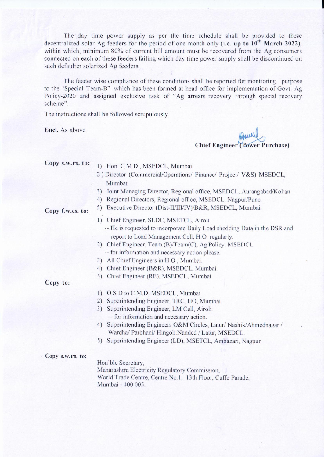The day time power supply as per the time schedule shall be provided to these decentralized solar Ag feeders for the period of one month only (i.e. up to  $10^{th}$  March-2022). within which, minimum 80% of current bill amount must be recovered from the Ag consumers connected on each of these feeders failing which day time power supply shall be discontinued on such defaulter solarized Ag feeders.

The feeder wise compliance of these conditions shall be reported for monitoring purpose to the "Special Team-B" which has been formed at head office for implementation of Govt. Ag Policy-2020 and assigned exclusive task of "Ag arrears recovery through special recovery scheme".

The instructions shall be followed scrupulously.

Encl. As above.

**Chief Engineer (Power Purchase)** 

Copy s.w.rs. to:

- 1) Hon. C.M.D., MSEDCL, Mumbai.
- 2) Director (Commercial/Operations/ Finance/ Project/ V&S) MSEDCL, Mumbai.
- 3) Joint Managing Director, Regional office, MSEDCL, Aurangabad/Kokan
- 4) Regional Directors, Regional office, MSEDCL, Nagpur/Pune.
- 5) Executive Director (Dist-II/III/IV)/B&R, MSEDCL, Mumbai.
- Copy f.w.cs. to:
- 1) Chief Engineer, SLDC, MSETCL, Airoli. -- He is requested to incorporate Daily Load shedding Data in the DSR and
	- report to Load Management Cell, H.O. regularly.
- 2) Chief Engineer, Team (B)/Team (C), Ag Policy, MSEDCL. -- for information and necessary action please.
- 3) All Chief Engineers in H.O., Mumbai.
- 4) Chief Engineer (B&R), MSEDCL, Mumbai.
- 5) Chief Engineer (RE), MSEDCL, Mumbai

Copy to:

- 1) O.S.D to C.M.D, MSEDCL, Mumbai
- 2) Superintending Engineer, TRC, HO, Mumbai.
- 3) Superintending Engineer, LM Cell, Airoli. -- for information and necessary action.
- 4) Superintending Engineers O&M Circles, Latur/ Nashik/Ahmednagar / Wardha/ Parbhani/ Hingoli. Nanded / Latur, MSEDCL.
- 5) Superintending Engineer (LD), MSETCL, Ambazari, Nagpur

Copy s.w.rs. to:

Hon'ble Secretary, Maharashtra Electricity Regulatory Commission, World Trade Centre, Centre No.1, 13th Floor, Cuffe Parade, Mumbai - 400 005.